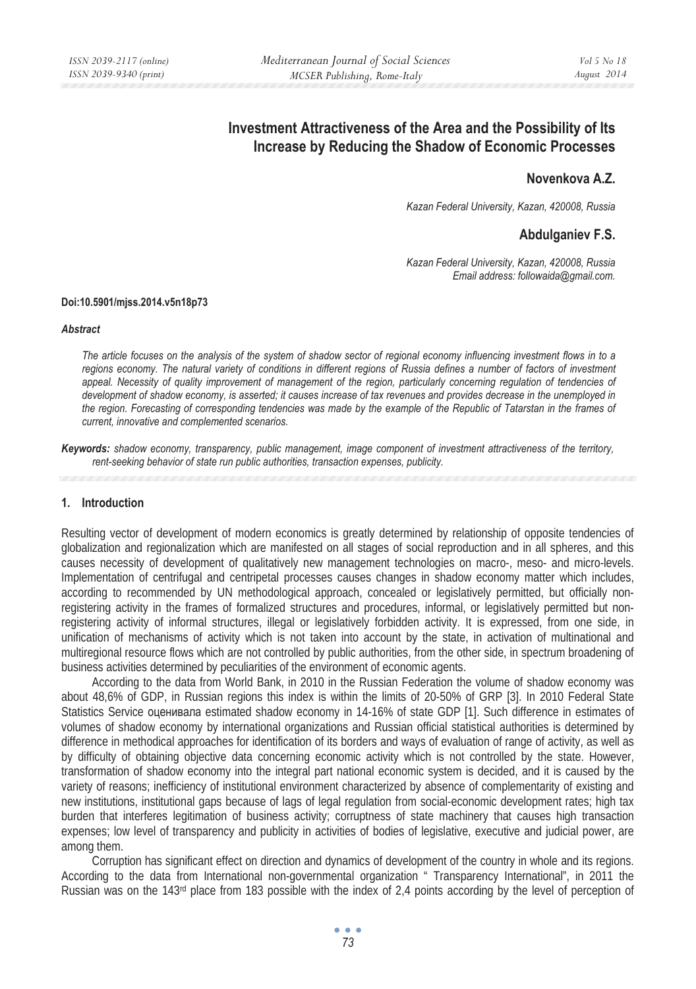# **Investment Attractiveness of the Area and the Possibility of Its Increase by Reducing the Shadow of Economic Processes**

# **Novenkova A.Z.**

*Kazan Federal University, Kazan, 420008, Russia* 

# **Abdulganiev F.S.**

*Kazan Federal University, Kazan, 420008, Russia Email address: followaida@gmail.com.* 

#### **Doi:10.5901/mjss.2014.v5n18p73**

#### *Abstract*

*The article focuses on the analysis of the system of shadow sector of regional economy influencing investment flows in to a*  regions economy. The natural variety of conditions in different regions of Russia defines a number of factors of investment appeal. Necessity of quality improvement of management of the region, particularly concerning regulation of tendencies of *development of shadow economy, is asserted; it causes increase of tax revenues and provides decrease in the unemployed in the region. Forecasting of corresponding tendencies was made by the example of the Republic of Tatarstan in the frames of current, innovative and complemented scenarios.* 

*Keywords: shadow economy, transparency, public management, image component of investment attractiveness of the territory, rent-seeking behavior of state run public authorities, transaction expenses, publicity.* 

### **1. Introduction**

Resulting vector of development of modern economics is greatly determined by relationship of opposite tendencies of globalization and regionalization which are manifested on all stages of social reproduction and in all spheres, and this causes necessity of development of qualitatively new management technologies on macro-, meso- and micro-levels. Implementation of centrifugal and centripetal processes causes changes in shadow economy matter which includes, according to recommended by UN methodological approach, concealed or legislatively permitted, but officially nonregistering activity in the frames of formalized structures and procedures, informal, or legislatively permitted but nonregistering activity of informal structures, illegal or legislatively forbidden activity. It is expressed, from one side, in unification of mechanisms of activity which is not taken into account by the state, in activation of multinational and multiregional resource flows which are not controlled by public authorities, from the other side, in spectrum broadening of business activities determined by peculiarities of the environment of economic agents.

According to the data from World Bank, in 2010 in the Russian Federation the volume of shadow economy was about 48,6% of GDP, in Russian regions this index is within the limits of 20-50% of GRP [3]. In 2010 Federal State Statistics Service оценивала estimated shadow economy in 14-16% of state GDP [1]. Such difference in estimates of volumes of shadow economy by international organizations and Russian official statistical authorities is determined by difference in methodical approaches for identification of its borders and ways of evaluation of range of activity, as well as by difficulty of obtaining objective data concerning economic activity which is not controlled by the state. However, transformation of shadow economy into the integral part national economic system is decided, and it is caused by the variety of reasons; inefficiency of institutional environment characterized by absence of complementarity of existing and new institutions, institutional gaps because of lags of legal regulation from social-economic development rates; high tax burden that interferes legitimation of business activity; corruptness of state machinery that causes high transaction expenses; low level of transparency and publicity in activities of bodies of legislative, executive and judicial power, are among them.

Corruption has significant effect on direction and dynamics of development of the country in whole and its regions. According to the data from International non-governmental organization " Transparency International", in 2011 the Russian was on the 143rd place from 183 possible with the index of 2,4 points according by the level of perception of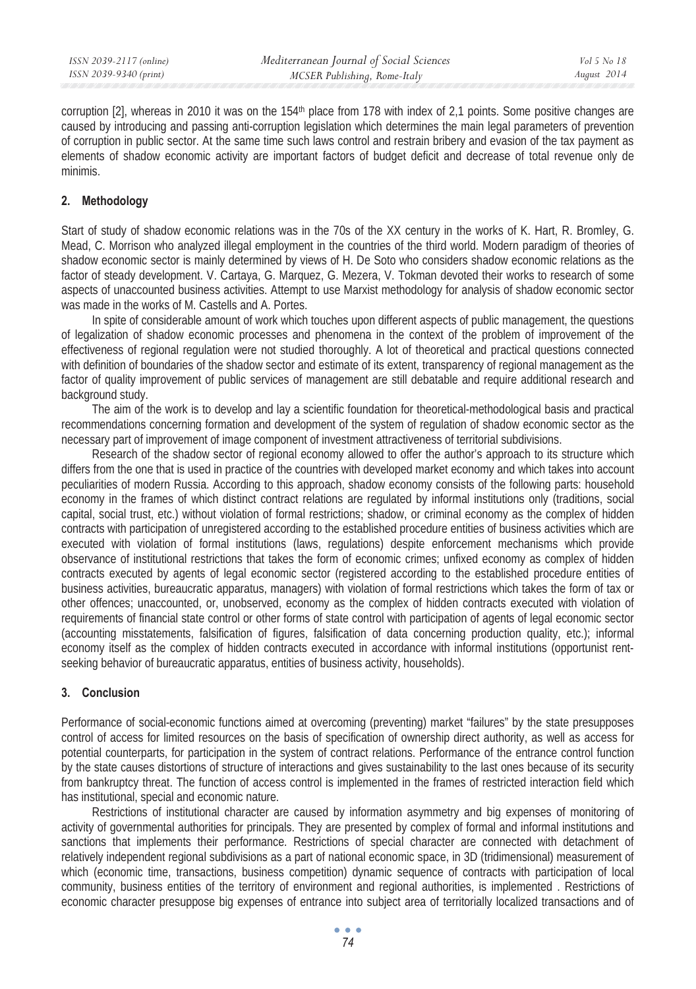corruption  $[2]$ , whereas in 2010 it was on the 154<sup>th</sup> place from 178 with index of 2.1 points. Some positive changes are caused by introducing and passing anti-corruption legislation which determines the main legal parameters of prevention of corruption in public sector. At the same time such laws control and restrain bribery and evasion of the tax payment as elements of shadow economic activity are important factors of budget deficit and decrease of total revenue only de minimis.

## **2. Methodology**

Start of study of shadow economic relations was in the 70s of the XX century in the works of K. Hart, R. Bromley, G. Mead, C. Morrison who analyzed illegal employment in the countries of the third world. Modern paradigm of theories of shadow economic sector is mainly determined by views of H. De Soto who considers shadow economic relations as the factor of steady development. V. Cartaya, G. Marquez, G. Mezera, V. Tokman devoted their works to research of some aspects of unaccounted business activities. Attempt to use Marxist methodology for analysis of shadow economic sector was made in the works of M. Castells and A. Portes.

In spite of considerable amount of work which touches upon different aspects of public management, the questions of legalization of shadow economic processes and phenomena in the context of the problem of improvement of the effectiveness of regional regulation were not studied thoroughly. A lot of theoretical and practical questions connected with definition of boundaries of the shadow sector and estimate of its extent, transparency of regional management as the factor of quality improvement of public services of management are still debatable and require additional research and background study.

The aim of the work is to develop and lay a scientific foundation for theoretical-methodological basis and practical recommendations concerning formation and development of the system of regulation of shadow economic sector as the necessary part of improvement of image component of investment attractiveness of territorial subdivisions.

Research of the shadow sector of regional economy allowed to offer the author's approach to its structure which differs from the one that is used in practice of the countries with developed market economy and which takes into account peculiarities of modern Russia. According to this approach, shadow economy consists of the following parts: household economy in the frames of which distinct contract relations are regulated by informal institutions only (traditions, social capital, social trust, etc.) without violation of formal restrictions; shadow, or criminal economy as the complex of hidden contracts with participation of unregistered according to the established procedure entities of business activities which are executed with violation of formal institutions (laws, regulations) despite enforcement mechanisms which provide observance of institutional restrictions that takes the form of economic crimes; unfixed economy as complex of hidden contracts executed by agents of legal economic sector (registered according to the established procedure entities of business activities, bureaucratic apparatus, managers) with violation of formal restrictions which takes the form of tax or other offences; unaccounted, or, unobserved, economy as the complex of hidden contracts executed with violation of requirements of financial state control or other forms of state control with participation of agents of legal economic sector (accounting misstatements, falsification of figures, falsification of data concerning production quality, etc.); informal economy itself as the complex of hidden contracts executed in accordance with informal institutions (opportunist rentseeking behavior of bureaucratic apparatus, entities of business activity, households).

## **3. Conclusion**

Performance of social-economic functions aimed at overcoming (preventing) market "failures" by the state presupposes control of access for limited resources on the basis of specification of ownership direct authority, as well as access for potential counterparts, for participation in the system of contract relations. Performance of the entrance control function by the state causes distortions of structure of interactions and gives sustainability to the last ones because of its security from bankruptcy threat. The function of access control is implemented in the frames of restricted interaction field which has institutional, special and economic nature.

Restrictions of institutional character are caused by information asymmetry and big expenses of monitoring of activity of governmental authorities for principals. They are presented by complex of formal and informal institutions and sanctions that implements their performance. Restrictions of special character are connected with detachment of relatively independent regional subdivisions as a part of national economic space, in 3D (tridimensional) measurement of which (economic time, transactions, business competition) dynamic sequence of contracts with participation of local community, business entities of the territory of environment and regional authorities, is implemented . Restrictions of economic character presuppose big expenses of entrance into subject area of territorially localized transactions and of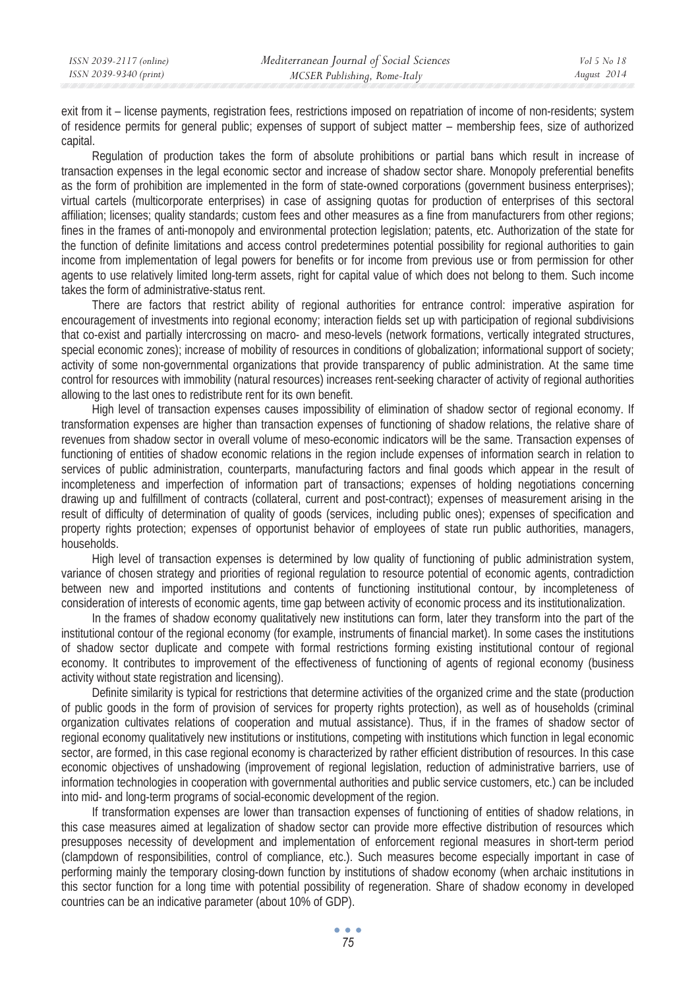exit from it – license payments, registration fees, restrictions imposed on repatriation of income of non-residents; system of residence permits for general public; expenses of support of subject matter – membership fees, size of authorized capital.

Regulation of production takes the form of absolute prohibitions or partial bans which result in increase of transaction expenses in the legal economic sector and increase of shadow sector share. Monopoly preferential benefits as the form of prohibition are implemented in the form of state-owned corporations (government business enterprises); virtual cartels (multicorporate enterprises) in case of assigning quotas for production of enterprises of this sectoral affiliation; licenses; quality standards; custom fees and other measures as a fine from manufacturers from other regions; fines in the frames of anti-monopoly and environmental protection legislation; patents, etc. Authorization of the state for the function of definite limitations and access control predetermines potential possibility for regional authorities to gain income from implementation of legal powers for benefits or for income from previous use or from permission for other agents to use relatively limited long-term assets, right for capital value of which does not belong to them. Such income takes the form of administrative-status rent.

There are factors that restrict ability of regional authorities for entrance control: imperative aspiration for encouragement of investments into regional economy; interaction fields set up with participation of regional subdivisions that co-exist and partially intercrossing on macro- and meso-levels (network formations, vertically integrated structures, special economic zones); increase of mobility of resources in conditions of globalization; informational support of society; activity of some non-governmental organizations that provide transparency of public administration. At the same time control for resources with immobility (natural resources) increases rent-seeking character of activity of regional authorities allowing to the last ones to redistribute rent for its own benefit.

High level of transaction expenses causes impossibility of elimination of shadow sector of regional economy. If transformation expenses are higher than transaction expenses of functioning of shadow relations, the relative share of revenues from shadow sector in overall volume of meso-economic indicators will be the same. Transaction expenses of functioning of entities of shadow economic relations in the region include expenses of information search in relation to services of public administration, counterparts, manufacturing factors and final goods which appear in the result of incompleteness and imperfection of information part of transactions; expenses of holding negotiations concerning drawing up and fulfillment of contracts (collateral, current and post-contract); expenses of measurement arising in the result of difficulty of determination of quality of goods (services, including public ones); expenses of specification and property rights protection; expenses of opportunist behavior of employees of state run public authorities, managers, households.

High level of transaction expenses is determined by low quality of functioning of public administration system, variance of chosen strategy and priorities of regional regulation to resource potential of economic agents, contradiction between new and imported institutions and contents of functioning institutional contour, by incompleteness of consideration of interests of economic agents, time gap between activity of economic process and its institutionalization.

In the frames of shadow economy qualitatively new institutions can form, later they transform into the part of the institutional contour of the regional economy (for example, instruments of financial market). In some cases the institutions of shadow sector duplicate and compete with formal restrictions forming existing institutional contour of regional economy. It contributes to improvement of the effectiveness of functioning of agents of regional economy (business activity without state registration and licensing).

Definite similarity is typical for restrictions that determine activities of the organized crime and the state (production of public goods in the form of provision of services for property rights protection), as well as of households (criminal organization cultivates relations of cooperation and mutual assistance). Thus, if in the frames of shadow sector of regional economy qualitatively new institutions or institutions, competing with institutions which function in legal economic sector, are formed, in this case regional economy is characterized by rather efficient distribution of resources. In this case economic objectives of unshadowing (improvement of regional legislation, reduction of administrative barriers, use of information technologies in cooperation with governmental authorities and public service customers, etc.) can be included into mid- and long-term programs of social-economic development of the region.

If transformation expenses are lower than transaction expenses of functioning of entities of shadow relations, in this case measures aimed at legalization of shadow sector can provide more effective distribution of resources which presupposes necessity of development and implementation of enforcement regional measures in short-term period (clampdown of responsibilities, control of compliance, etc.). Such measures become especially important in case of performing mainly the temporary closing-down function by institutions of shadow economy (when archaic institutions in this sector function for a long time with potential possibility of regeneration. Share of shadow economy in developed countries can be an indicative parameter (about 10% of GDP).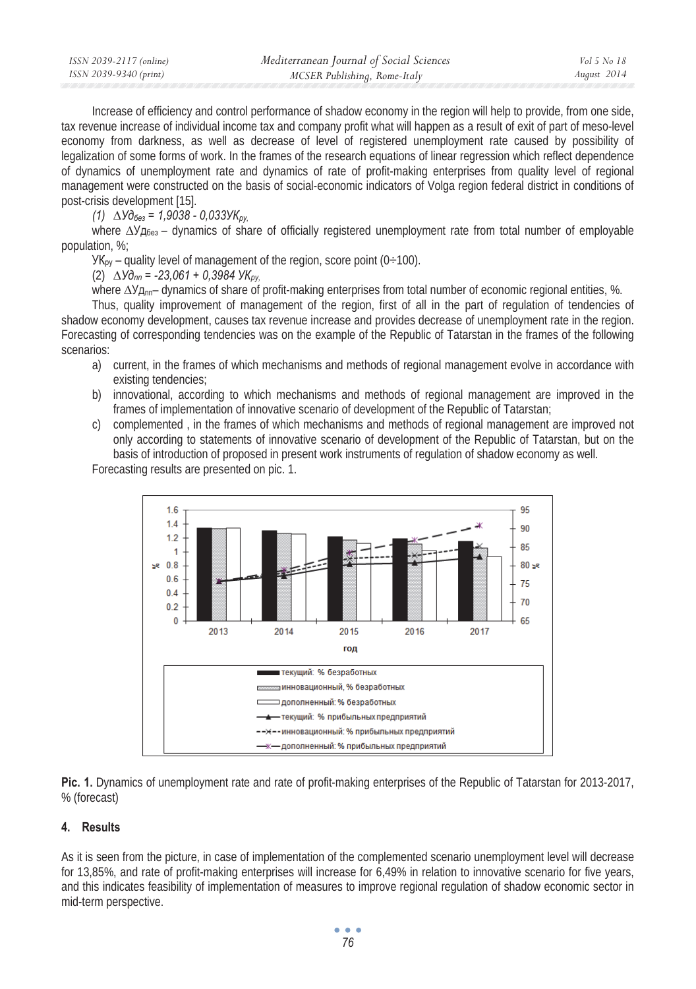| ISSN 2039-2117 (online) | Mediterranean Journal of Social Sciences | Vol 5 No 18 |
|-------------------------|------------------------------------------|-------------|
| ISSN 2039-9340 (print)  | MCSER Publishing, Rome-Italy             | August 2014 |

Increase of efficiency and control performance of shadow economy in the region will help to provide, from one side, tax revenue increase of individual income tax and company profit what will happen as a result of exit of part of meso-level economy from darkness, as well as decrease of level of registered unemployment rate caused by possibility of legalization of some forms of work. In the frames of the research equations of linear regression which reflect dependence of dynamics of unemployment rate and dynamics of rate of profit-making enterprises from quality level of regional management were constructed on the basis of social-economic indicators of Volga region federal district in conditions of post-crisis development [15].

 $(1)$   $\Delta$ *Y* $\delta$ <sub>*ea*</sub> = 1,9038 - 0,033*YK*<sub>*py*.</sub>

where  $\Delta Y_{\text{10}}$  – dynamics of share of officially registered unemployment rate from total number of employable population, %;

 $YK_{py}$  – quality level of management of the region, score point (0÷100).

 $(2) \Delta y \partial_{nn} = -23.061 + 0.3984 \text{ YK}$ <sub>*ov*.</sub>

where  $\Delta$ *y*<sub>Ann</sub>– dynamics of share of profit-making enterprises from total number of economic regional entities, %.

Thus, quality improvement of management of the region, first of all in the part of regulation of tendencies of shadow economy development, causes tax revenue increase and provides decrease of unemployment rate in the region. Forecasting of corresponding tendencies was on the example of the Republic of Tatarstan in the frames of the following scenarios:

- a) current, in the frames of which mechanisms and methods of regional management evolve in accordance with existing tendencies;
- b) innovational, according to which mechanisms and methods of regional management are improved in the frames of implementation of innovative scenario of development of the Republic of Tatarstan;
- c) complemented , in the frames of which mechanisms and methods of regional management are improved not only according to statements of innovative scenario of development of the Republic of Tatarstan, but on the basis of introduction of proposed in present work instruments of regulation of shadow economy as well.

Forecasting results are presented on pic. 1.



**Pic. 1.** Dynamics of unemployment rate and rate of profit-making enterprises of the Republic of Tatarstan for 2013-2017, % (forecast)

## **4. Results**

As it is seen from the picture, in case of implementation of the complemented scenario unemployment level will decrease for 13,85%, and rate of profit-making enterprises will increase for 6,49% in relation to innovative scenario for five years, and this indicates feasibility of implementation of measures to improve regional regulation of shadow economic sector in mid-term perspective.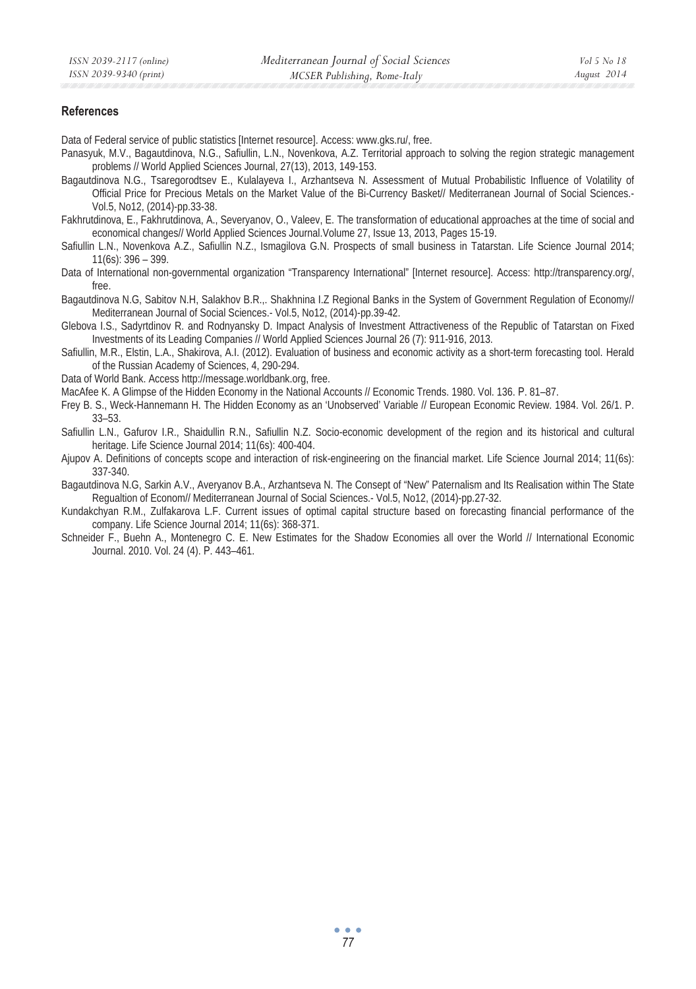### **References**

Data of Federal service of public statistics [Internet resource]. Access: www.gks.ru/, free.

- Panasyuk, M.V., Bagautdinova, N.G., Safiullin, L.N., Novenkova, A.Z. Territorial approach to solving the region strategic management problems // World Applied Sciences Journal, 27(13), 2013, 149-153.
- Bagautdinova N.G., Tsaregorodtsev E., Kulalayeva I., Arzhantseva N. Assessment of Mutual Probabilistic Influence of Volatility of Official Price for Precious Metals on the Market Value of the Bi-Currency Basket// Mediterranean Journal of Social Sciences.- Vol.5, No12, (2014)-pp.33-38.
- Fakhrutdinova, E., Fakhrutdinova, A., Severyanov, O., Valeev, E. The transformation of educational approaches at the time of social and economical changes// World Applied Sciences Journal.Volume 27, Issue 13, 2013, Pages 15-19.
- Safiullin L.N., Novenkova A.Z., Safiullin N.Z., Ismagilova G.N. Prospects of small business in Tatarstan. Life Science Journal 2014; 11(6s): 396 – 399.
- Data of International non-governmental organization "Transparency International" [Internet resource]. Access: http://transparency.org/, free.

Bagautdinova N.G, Sabitov N.H, Salakhov B.R.,. Shakhnina I.Z Regional Banks in the System of Government Regulation of Economy// Mediterranean Journal of Social Sciences.- Vol.5, No12, (2014)-pp.39-42.

Glebova I.S., Sadyrtdinov R. and Rodnyansky D. Impact Analysis of Investment Attractiveness of the Republic of Tatarstan on Fixed Investments of its Leading Companies // World Applied Sciences Journal 26 (7): 911-916, 2013.

- Safiullin, M.R., Elstin, L.A., Shakirova, A.I. (2012). Evaluation of business and economic activity as a short-term forecasting tool. Herald of the Russian Academy of Sciences, 4, 290-294.
- Data of World Bank. Access http://message.worldbank.org, free.

MacAfee K. A Glimpse of the Hidden Economy in the National Accounts // Economic Trends. 1980. Vol. 136. P. 81–87.

- Frey B. S., Weck-Hannemann H. The Hidden Economy as an 'Unobserved' Variable // European Economic Review. 1984. Vol. 26/1. P. 33–53.
- Safiullin L.N., Gafurov I.R., Shaidullin R.N., Safiullin N.Z. Socio-economic development of the region and its historical and cultural heritage. Life Science Journal 2014; 11(6s): 400-404.
- Ajupov A. Definitions of concepts scope and interaction of risk-engineering on the financial market. Life Science Journal 2014; 11(6s): 337-340.
- Bagautdinova N.G, Sarkin A.V., Averyanov B.A., Arzhantseva N. The Consept of "New" Paternalism and Its Realisation within The State Regualtion of Econom// Mediterranean Journal of Social Sciences.- Vol.5, No12, (2014)-pp.27-32.

Kundakchyan R.M., Zulfakarova L.F. Current issues of optimal capital structure based on forecasting financial performance of the company. Life Science Journal 2014; 11(6s): 368-371.

Schneider F., Buehn A., Montenegro C. E. New Estimates for the Shadow Economies all over the World // International Economic Journal. 2010. Vol. 24 (4). P. 443-461.